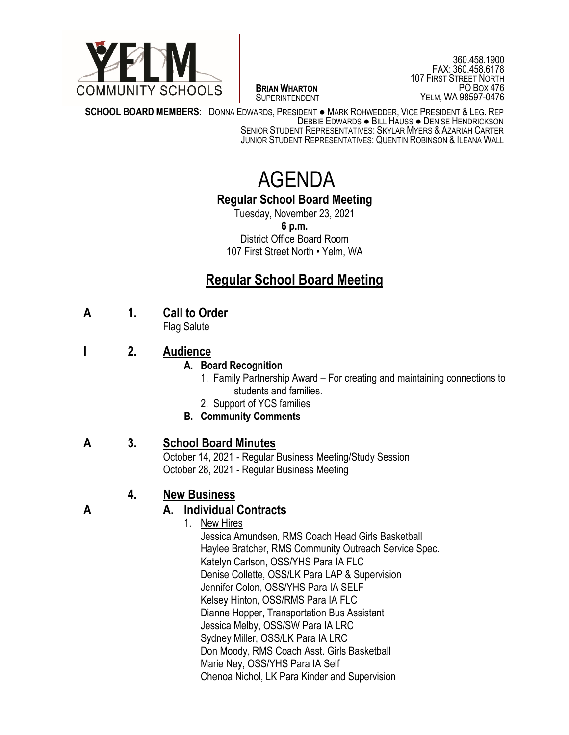

 $\overline{a}$ **BRIAN WHARTON** SUPERINTENDENT

360.458.1900 FAX: 360.458.6178 107 FIRST STREET NORTH PO BOX 476 YELM, WA 98597-0476

**SCHOOL BOARD MEMBERS:** DONNA EDWARDS, PRESIDENT ● MARK ROHWEDDER, VICE PRESIDENT & LEG. REP DEBBIE EDWARDS ● BILL HAUSS ● DENISE HENDRICKSON

SENIOR STUDENT REPRESENTATIVES: SKYLAR MYERS & AZARIAH CARTER JUNIOR STUDENT REPRESENTATIVES: QUENTIN ROBINSON & ILEANA WALL

# AGENDA

### **Regular School Board Meeting**

Tuesday, November 23, 2021 **6 p.m.** District Office Board Room 107 First Street North • Yelm, WA

# **Regular School Board Meeting**

# **A 1. Call to Order**

Flag Salute

# **I 2. Audience**

#### **A. Board Recognition**

- 1.Family Partnership Award For creating and maintaining connections to students and families.
- 2. Support of YCS families
- **B. Community Comments**

# **A 3. School Board Minutes**

October 14, 2021 - Regular Business Meeting/Study Session October 28, 2021 - Regular Business Meeting

# **4. New Business**

# **A A. Individual Contracts**

- 1. New Hires
	- Jessica Amundsen, RMS Coach Head Girls Basketball Haylee Bratcher, RMS Community Outreach Service Spec. Katelyn Carlson, OSS/YHS Para IA FLC Denise Collette, OSS/LK Para LAP & Supervision Jennifer Colon, OSS/YHS Para IA SELF Kelsey Hinton, OSS/RMS Para IA FLC Dianne Hopper, Transportation Bus Assistant Jessica Melby, OSS/SW Para IA LRC Sydney Miller, OSS/LK Para IA LRC Don Moody, RMS Coach Asst. Girls Basketball Marie Ney, OSS/YHS Para IA Self Chenoa Nichol, LK Para Kinder and Supervision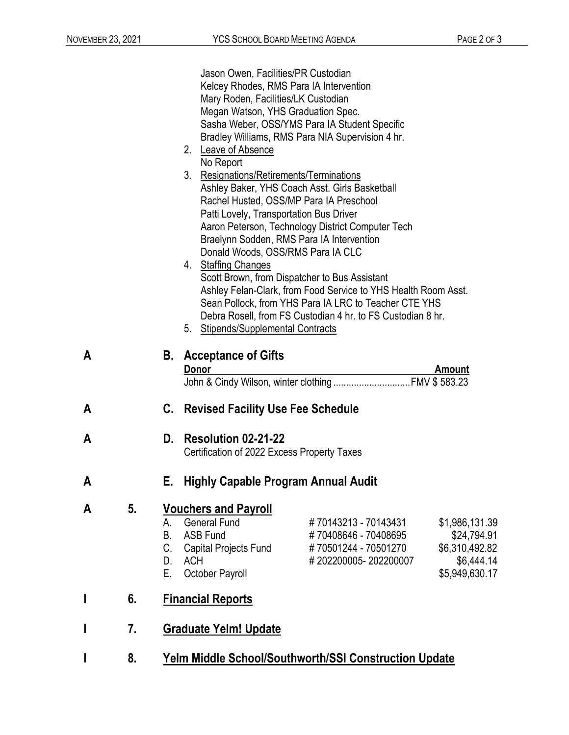|   |    |                                                 | Jason Owen, Facilities/PR Custodian                                            |                                                                |                |
|---|----|-------------------------------------------------|--------------------------------------------------------------------------------|----------------------------------------------------------------|----------------|
|   |    |                                                 | Kelcey Rhodes, RMS Para IA Intervention<br>Mary Roden, Facilities/LK Custodian |                                                                |                |
|   |    |                                                 | Megan Watson, YHS Graduation Spec.                                             |                                                                |                |
|   |    |                                                 |                                                                                | Sasha Weber, OSS/YMS Para IA Student Specific                  |                |
|   |    |                                                 |                                                                                | Bradley Williams, RMS Para NIA Supervision 4 hr.               |                |
|   |    |                                                 | 2. Leave of Absence                                                            |                                                                |                |
|   |    |                                                 | No Report                                                                      |                                                                |                |
|   |    |                                                 | 3.<br>Resignations/Retirements/Terminations                                    |                                                                |                |
|   |    |                                                 |                                                                                | Ashley Baker, YHS Coach Asst. Girls Basketball                 |                |
|   |    |                                                 | Rachel Husted, OSS/MP Para IA Preschool                                        |                                                                |                |
|   |    |                                                 | Patti Lovely, Transportation Bus Driver                                        |                                                                |                |
|   |    |                                                 |                                                                                | Aaron Peterson, Technology District Computer Tech              |                |
|   |    |                                                 | Braelynn Sodden, RMS Para IA Intervention                                      |                                                                |                |
|   |    |                                                 | Donald Woods, OSS/RMS Para IA CLC                                              |                                                                |                |
|   |    |                                                 | 4. Staffing Changes                                                            | Scott Brown, from Dispatcher to Bus Assistant                  |                |
|   |    |                                                 |                                                                                | Ashley Felan-Clark, from Food Service to YHS Health Room Asst. |                |
|   |    |                                                 |                                                                                | Sean Pollock, from YHS Para IA LRC to Teacher CTE YHS          |                |
|   |    |                                                 |                                                                                | Debra Rosell, from FS Custodian 4 hr. to FS Custodian 8 hr.    |                |
|   |    |                                                 | 5. Stipends/Supplemental Contracts                                             |                                                                |                |
| A |    |                                                 | <b>B.</b> Acceptance of Gifts<br><b>Donor</b>                                  |                                                                | <b>Amount</b>  |
| A |    | C.                                              | <b>Revised Facility Use Fee Schedule</b>                                       |                                                                |                |
| A |    | D.                                              | Resolution 02-21-22                                                            |                                                                |                |
|   |    |                                                 | Certification of 2022 Excess Property Taxes                                    |                                                                |                |
| Α |    | <b>Highly Capable Program Annual Audit</b><br>Е |                                                                                |                                                                |                |
| A | 5. |                                                 | <b>Vouchers and Payroll</b>                                                    |                                                                |                |
|   |    | A.                                              | <b>General Fund</b>                                                            | #70143213 - 70143431                                           | \$1,986,131.39 |
|   |    | В.                                              | <b>ASB Fund</b>                                                                | #70408646 - 70408695                                           | \$24,794.91    |
|   |    | C.                                              | <b>Capital Projects Fund</b>                                                   | #70501244 - 70501270                                           | \$6,310,492.82 |
|   |    | D.                                              | <b>ACH</b>                                                                     | #202200005-202200007                                           | \$6,444.14     |
|   |    | Е.                                              | October Payroll                                                                |                                                                | \$5,949,630.17 |
|   | 6. |                                                 | <b>Financial Reports</b>                                                       |                                                                |                |
|   | 7. |                                                 | <b>Graduate Yelm! Update</b>                                                   |                                                                |                |
|   | 8. |                                                 |                                                                                | <b>Yelm Middle School/Southworth/SSI Construction Update</b>   |                |
|   |    |                                                 |                                                                                |                                                                |                |